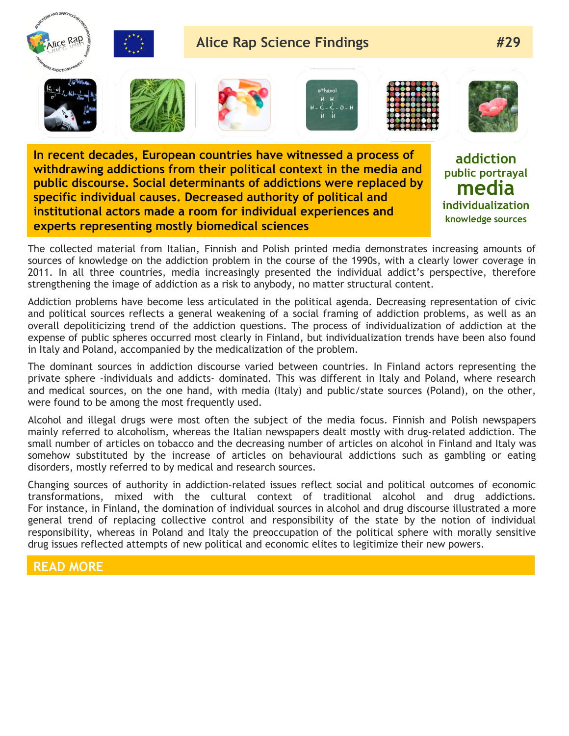

**In recent decades, European countries have witnessed a process of withdrawing addictions from their political context in the media and public discourse. Social determinants of addictions were replaced by specific individual causes. Decreased authority of political and institutional actors made a room for individual experiences and experts representing mostly biomedical sciences**

**addiction public portrayal media individualization knowledge sources**

The collected material from Italian, Finnish and Polish printed media demonstrates increasing amounts of sources of knowledge on the addiction problem in the course of the 1990s, with a clearly lower coverage in 2011. In all three countries, media increasingly presented the individual addict's perspective, therefore strengthening the image of addiction as a risk to anybody, no matter structural content.

Addiction problems have become less articulated in the political agenda. Decreasing representation of civic and political sources reflects a general weakening of a social framing of addiction problems, as well as an overall depoliticizing trend of the addiction questions. The process of individualization of addiction at the expense of public spheres occurred most clearly in Finland, but individualization trends have been also found in Italy and Poland, accompanied by the medicalization of the problem.

The dominant sources in addiction discourse varied between countries. In Finland actors representing the private sphere -individuals and addicts- dominated. This was different in Italy and Poland, where research and medical sources, on the one hand, with media (Italy) and public/state sources (Poland), on the other, were found to be among the most frequently used.

Alcohol and illegal drugs were most often the subject of the media focus. Finnish and Polish newspapers mainly referred to alcoholism, whereas the Italian newspapers dealt mostly with drug-related addiction. The small number of articles on tobacco and the decreasing number of articles on alcohol in Finland and Italy was somehow substituted by the increase of articles on behavioural addictions such as gambling or eating disorders, mostly referred to by medical and research sources.

Changing sources of authority in addiction-related issues reflect social and political outcomes of economic transformations, mixed with the cultural context of traditional alcohol and drug addictions. For instance, in Finland, the domination of individual sources in alcohol and drug discourse illustrated a more general trend of replacing collective control and responsibility of the state by the notion of individual responsibility, whereas in Poland and Italy the preoccupation of the political sphere with morally sensitive drug issues reflected attempts of new political and economic elites to legitimize their new powers.

## **READ MORE**